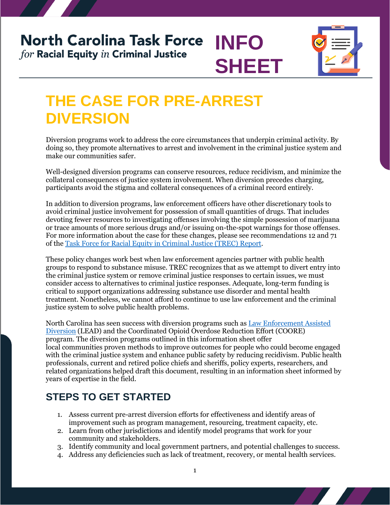## **North Carolina Task Force INFO** for Racial Equity in Criminal Justice **SHEET**



# **THE CASE FOR PRE-ARREST DIVERSION**

Diversion programs work to address the core circumstances that underpin criminal activity. By doing so, they promote alternatives to arrest and involvement in the criminal justice system and make our communities safer.

Well-designed diversion programs can conserve resources, reduce recidivism, and minimize the collateral consequences of justice system involvement. When diversion precedes charging, participants avoid the stigma and collateral consequences of a criminal record entirely.

In addition to diversion programs, law enforcement officers have other discretionary tools to avoid criminal justice involvement for possession of small quantities of drugs. That includes devoting fewer resources to investigating offenses involving the simple possession of marijuana or trace amounts of more serious drugs and/or issuing on-the-spot warnings for those offenses. For more information about the case for these changes, please see recommendations 12 and 71 of the [Task Force for Racial Equity in Criminal Justice \(TREC\)](https://ncdoj.gov/wp-content/uploads/2021/02/TRECReportFinal_02262021.pdf) Report.

These policy changes work best when law enforcement agencies partner with public health groups to respond to substance misuse. TREC recognizes that as we attempt to divert entry into the criminal justice system or remove criminal justice responses to certain issues, we must consider access to alternatives to criminal justice responses. Adequate, long-term funding is critical to support organizations addressing substance use disorder and mental health treatment. Nonetheless, we cannot afford to continue to use law enforcement and the criminal justice system to solve public health problems.

North Carolina has seen success with diversion programs such as [Law Enforcement Assisted](https://www.nchrc.org/programs/lead/)  [Diversion](https://www.nchrc.org/programs/lead/) (LEAD) and the [Coordinated](https://www.ocsonc.com/copy-of-daily-custody-reports) Opioid Overdose Reduction Effort (COORE) program. The diversion programs outlined in this information sheet offer local communities proven methods to improve outcomes for people who could become engaged with the criminal justice system and enhance public safety by reducing recidivism. Public health professionals, current and retired police chiefs and sheriffs, policy experts, researchers, and related organizations helped draft this document, resulting in an information sheet informed by years of expertise in the field.

### **STEPS TO GET STARTED**

- 1. Assess current pre-arrest diversion efforts for effectiveness and identify areas of improvement such as program management, resourcing, treatment capacity, etc.
- 2. Learn from other jurisdictions and identify model programs that work for your community and stakeholders.
- 3. Identify community and local government partners, and potential challenges to success.
- 4. Address any deficiencies such as lack of treatment, recovery, or mental health services.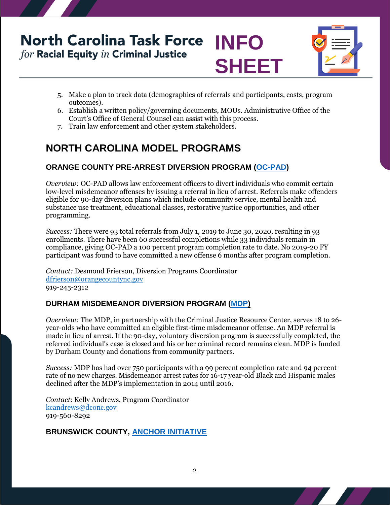## **North Carolina Task Force INFO** for Racial Equity in Criminal Justice **SHEET**



- 5. Make a plan to track data (demographics of referrals and participants, costs, program outcomes).
- 6. Establish a written policy/governing documents, MOUs. Administrative Office of the Court's Office of General Counsel can assist with this process.
- 7. Train law enforcement and other system stakeholders.

## **NORTH CAROLINA MODEL PROGRAMS**

### **ORANGE COUNTY PRE-ARREST DIVERSION PROGRAM [\(OC-PAD\)](http://www.co.orange.nc.us/2824/Adult-Pre-Arrest-Diversion-OC-PAD)**

*Overview:* OC-PAD allows law enforcement officers to divert individuals who commit certain low-level misdemeanor offenses by issuing a referral in lieu of arrest. Referrals make offenders eligible for 90-day diversion plans which include community service, mental health and substance use treatment, educational classes, restorative justice opportunities, and other programming.

*Success:* There were 93 total referrals from July 1, 2019 to June 30, 2020, resulting in 93 enrollments. There have been 60 successful completions while 33 individuals remain in compliance, giving OC-PAD a 100 percent program completion rate to date. No 2019-20 FY participant was found to have committed a new offense 6 months after program completion.

*Contact:* Desmond Frierson, Diversion Programs Coordinator [dfrierson@orangecountync.gov](mailto:dfrierson@orangecountync.gov)  919-245-2312

### **DURHAM MISDEMEANOR DIVERSION PROGRAM [\(MDP\)](https://www.dconc.gov/county-departments/departments-a-e/criminal-justice-resource-center/diversion-program/misdemeanor-diversion-program)**

*Overview:* The MDP, in partnership with the Criminal Justice Resource Center, serves 18 to 26 year-olds who have committed an eligible first-time misdemeanor offense. An MDP referral is made in lieu of arrest. If the 90-day, voluntary diversion program is successfully completed, the referred individual's case is closed and his or her criminal record remains clean. MDP is funded by Durham County and donations from community partners.

*Success:* MDP has had over 750 participants with a 99 percent completion rate and 94 percent rate of no new charges. Misdemeanor arrest rates for 16-17 year-old Black and Hispanic males declined after the MDP's implementation in 2014 until 2016.

*Contact*: Kelly Andrews, Program Coordinator [kcandrews@dconc.gov](mailto:kcandrews@dconc.gov)  919-560-8292

### **BRUNSWICK COUNTY, [ANCHOR INITIATIVE](https://www.brunswicksheriff.com/community-programs/anchor-initiative)**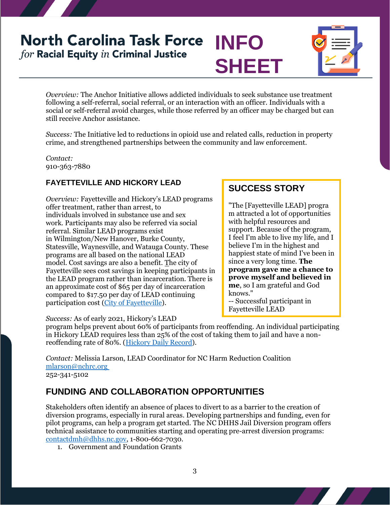## **North Carolina Task Force INFO** for Racial Equity in Criminal Justice





*Overview:* The Anchor Initiative allows addicted individuals to seek substance use treatment following a self-referral, social referral, or an interaction with an officer. Individuals with a social or self-referral avoid charges, while those referred by an officer may be charged but can still receive Anchor assistance.

*Success:* The Initiative led to reductions in opioid use and related calls, reduction in property crime, and strengthened partnerships between the community and law enforcement.

*Contact:* 910-363-7880

### **FAYETTEVILLE AND HICKORY LEAD**

*Overview:* Fayetteville and Hickory's LEAD programs offer treatment, rather than arrest, to individuals involved in substance use and sex work. Participants may also be referred via social referral. Similar LEAD programs exist in Wilmington/New Hanover, Burke County, Statesville, Waynesville, and Watauga County. These programs are all based on the national LEAD model. Cost savings are also a benefit. The city of Fayetteville sees cost savings in keeping participants in the LEAD program rather than incarceration. There is an approximate cost of \$65 per day of incarceration compared to \$17.50 per day of LEAD continuing participation cost [\(City of Fayetteville\)](https://www.arcgis.com/apps/MapJournal/index.html?appid=a891a2296aaf482bbc3d224ce47376dd#:~:text=LEAD%20is%20a%20prebooking%20diversion,alternative%20to%20incarceration%20and%20prosecution.).

*Success:* As of early 2021, Hickory's LEAD

### **SUCCESS STORY**

"The [Fayetteville LEAD] progra m attracted a lot of opportunities with helpful resources and support. Because of the program, I feel I'm able to live my life, and I believe I'm in the highest and happiest state of mind I've been in since a very long time. **The program gave me a chance to prove myself and believed in me**, so I am grateful and God knows."

-- Successful participant in Fayetteville LEAD

program helps prevent about 60% of participants from reoffending. An individual participating in Hickory LEAD requires less than 25% of the cost of taking them to jail and have a nonreoffending rate of 80%. [\(Hickory Daily Record\)](https://hickoryrecord.com/news/local/govt-and-politics/6-of-10-commit-no-more-crimes-after-taking-part-in-hickory-police-program-that/article_32ac046c-6649-11eb-a667-1fe54a3070eb.html).

*Contact:* Melissia Larson, LEAD Coordinator for NC Harm Reduction Coalition [mlarson@nchrc.org](mailto:mlarson@nchrc.org) 252-341-5102

### **FUNDING AND COLLABORATION OPPORTUNITIES**

Stakeholders often identify an absence of places to divert to as a barrier to the creation of diversion programs, especially in rural areas. Developing partnerships and funding, even for pilot programs, can help a program get started. The NC DHHS Jail Diversion program offers technical assistance to communities starting and operating pre-arrest diversion programs: [contactdmh@dhhs.nc.gov,](mailto:contactdmh@dhhs.nc.gov) 1-800-662-7030.

1. Government and Foundation Grants